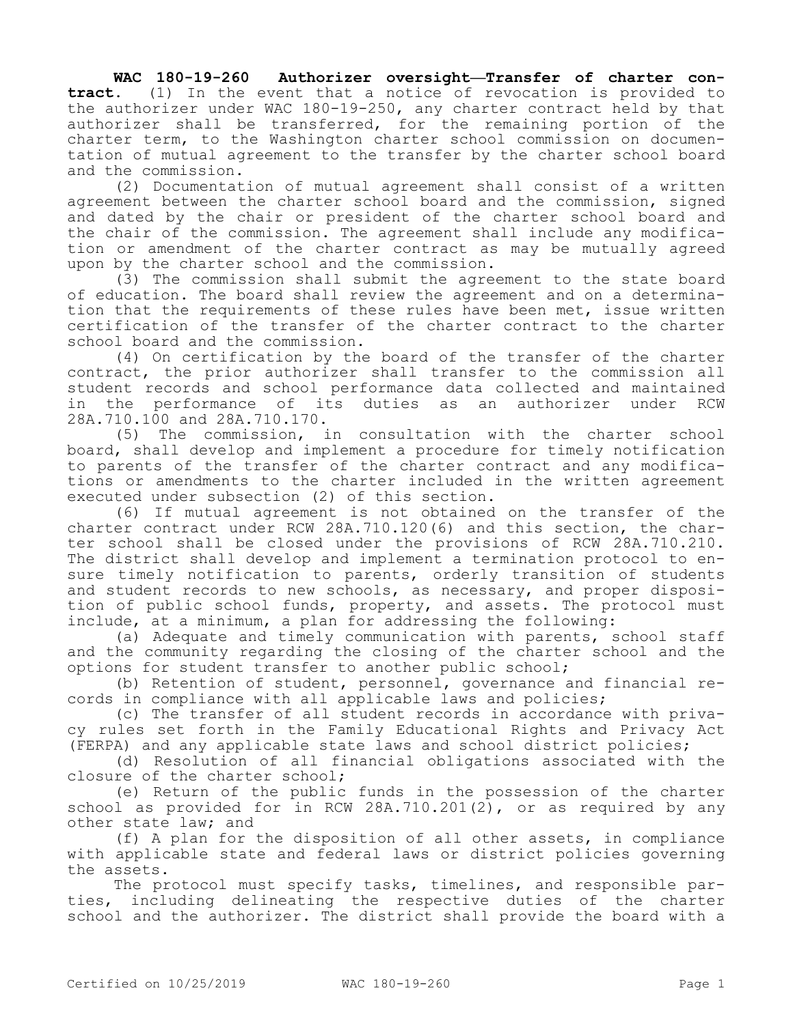**WAC 180-19-260 Authorizer oversight—Transfer of charter contract.** (1) In the event that a notice of revocation is provided to the authorizer under WAC 180-19-250, any charter contract held by that authorizer shall be transferred, for the remaining portion of the charter term, to the Washington charter school commission on documentation of mutual agreement to the transfer by the charter school board and the commission.

(2) Documentation of mutual agreement shall consist of a written agreement between the charter school board and the commission, signed and dated by the chair or president of the charter school board and the chair of the commission. The agreement shall include any modification or amendment of the charter contract as may be mutually agreed upon by the charter school and the commission.

(3) The commission shall submit the agreement to the state board of education. The board shall review the agreement and on a determination that the requirements of these rules have been met, issue written certification of the transfer of the charter contract to the charter school board and the commission.

(4) On certification by the board of the transfer of the charter contract, the prior authorizer shall transfer to the commission all student records and school performance data collected and maintained in the performance of its duties as an authorizer under RCW 28A.710.100 and 28A.710.170.

(5) The commission, in consultation with the charter school board, shall develop and implement a procedure for timely notification to parents of the transfer of the charter contract and any modifications or amendments to the charter included in the written agreement executed under subsection (2) of this section.

(6) If mutual agreement is not obtained on the transfer of the charter contract under RCW 28A.710.120(6) and this section, the charter school shall be closed under the provisions of RCW 28A.710.210. The district shall develop and implement a termination protocol to ensure timely notification to parents, orderly transition of students and student records to new schools, as necessary, and proper disposition of public school funds, property, and assets. The protocol must include, at a minimum, a plan for addressing the following:

(a) Adequate and timely communication with parents, school staff and the community regarding the closing of the charter school and the options for student transfer to another public school;

(b) Retention of student, personnel, governance and financial records in compliance with all applicable laws and policies;

(c) The transfer of all student records in accordance with privacy rules set forth in the Family Educational Rights and Privacy Act (FERPA) and any applicable state laws and school district policies;

(d) Resolution of all financial obligations associated with the closure of the charter school;

(e) Return of the public funds in the possession of the charter school as provided for in RCW 28A.710.201(2), or as required by any other state law; and

(f) A plan for the disposition of all other assets, in compliance with applicable state and federal laws or district policies governing the assets.

The protocol must specify tasks, timelines, and responsible parties, including delineating the respective duties of the charter school and the authorizer. The district shall provide the board with a